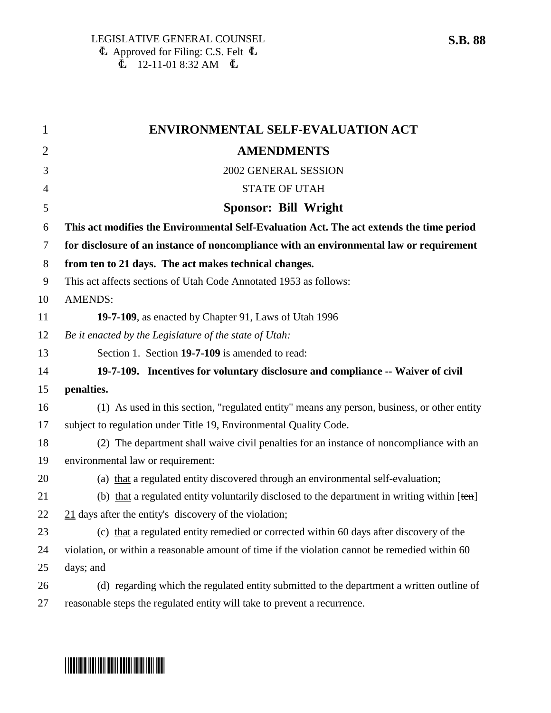| $\mathbf{1}$ | ENVIRONMENTAL SELF-EVALUATION ACT                                                              |
|--------------|------------------------------------------------------------------------------------------------|
| 2            | <b>AMENDMENTS</b>                                                                              |
| 3            | 2002 GENERAL SESSION                                                                           |
| 4            | <b>STATE OF UTAH</b>                                                                           |
| 5            | <b>Sponsor: Bill Wright</b>                                                                    |
| 6            | This act modifies the Environmental Self-Evaluation Act. The act extends the time period       |
| 7            | for disclosure of an instance of noncompliance with an environmental law or requirement        |
| 8            | from ten to 21 days. The act makes technical changes.                                          |
| 9            | This act affects sections of Utah Code Annotated 1953 as follows:                              |
| 10           | <b>AMENDS:</b>                                                                                 |
| 11           | 19-7-109, as enacted by Chapter 91, Laws of Utah 1996                                          |
| 12           | Be it enacted by the Legislature of the state of Utah:                                         |
| 13           | Section 1. Section 19-7-109 is amended to read:                                                |
| 14           | 19-7-109. Incentives for voluntary disclosure and compliance -- Waiver of civil                |
| 15           | penalties.                                                                                     |
| 16           | (1) As used in this section, "regulated entity" means any person, business, or other entity    |
| 17           | subject to regulation under Title 19, Environmental Quality Code.                              |
| 18           | (2) The department shall waive civil penalties for an instance of noncompliance with an        |
| 19           | environmental law or requirement:                                                              |
| 20           | (a) that a regulated entity discovered through an environmental self-evaluation;               |
| 21           | (b) that a regulated entity voluntarily disclosed to the department in writing within $[ten]$  |
| 22           | $21$ days after the entity's discovery of the violation;                                       |
| 23           | (c) that a regulated entity remedied or corrected within 60 days after discovery of the        |
| 24           | violation, or within a reasonable amount of time if the violation cannot be remedied within 60 |
| 25           | days; and                                                                                      |
| 26           | (d) regarding which the regulated entity submitted to the department a written outline of      |
| 27           | reasonable steps the regulated entity will take to prevent a recurrence.                       |

## \*SB0088\*